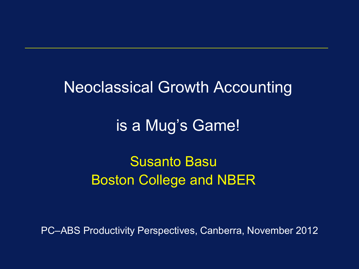#### Neoclassical Growth Accounting

### is a Mug's Game!

### Susanto Basu Boston College and NBER

PC–ABS Productivity Perspectives, Canberra, November 2012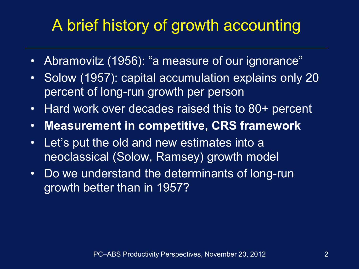# A brief history of growth accounting

- Abramovitz (1956): "a measure of our ignorance"
- Solow (1957): capital accumulation explains only 20 percent of long-run growth per person
- Hard work over decades raised this to 80+ percent
- **Measurement in competitive, CRS framework**
- Let's put the old and new estimates into a neoclassical (Solow, Ramsey) growth model
- Do we understand the determinants of long-run growth better than in 1957?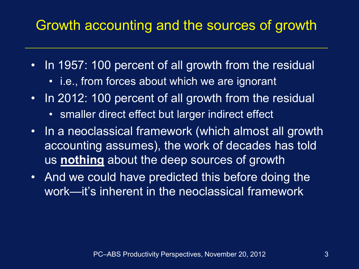### Growth accounting and the sources of growth

- In 1957: 100 percent of all growth from the residual
	- i.e., from forces about which we are ignorant
- In 2012: 100 percent of all growth from the residual
	- smaller direct effect but larger indirect effect
- In a neoclassical framework (which almost all growth accounting assumes), the work of decades has told us **nothing** about the deep sources of growth
- And we could have predicted this before doing the work—it's inherent in the neoclassical framework